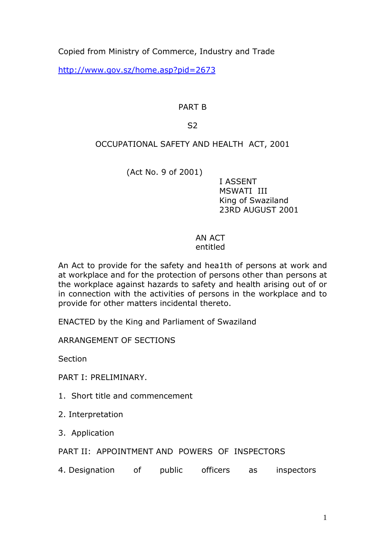Copied from Ministry of Commerce, Industry and Trade

http://www.gov.sz/home.asp?pid=2673

# PART B

## S2

# OCCUPATIONAL SAFETY AND HEALTH ACT, 2001

(Act No. 9 of 2001)

 I ASSENT MSWATI III King of Swaziland 23RD AUGUST 2001

### AN ACT entitled

An Act to provide for the safety and hea1th of persons at work and at workplace and for the protection of persons other than persons at the workplace against hazards to safety and health arising out of or in connection with the activities of persons in the workplace and to provide for other matters incidental thereto.

ENACTED by the King and Parliament of Swaziland

ARRANGEMENT OF SECTIONS

**Section** 

PART I: PRELIMINARY.

1. Short title and commencement

2. Interpretation

3. Application

PART II: APPOINTMENT AND POWERS OF INSPECTORS

4. Designation of public officers as inspectors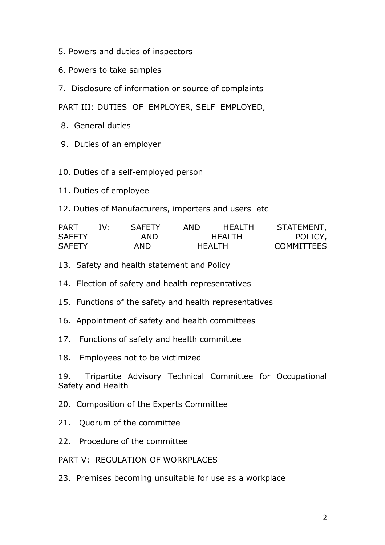- 5. Powers and duties of inspectors
- 6. Powers to take samples
- 7. Disclosure of information or source of complaints

PART III: DUTIES OF EMPLOYER, SELF EMPLOYED,

- 8. General duties
- 9. Duties of an employer
- 10. Duties of a self-employed person
- 11. Duties of employee
- 12. Duties of Manufacturers, importers and users etc

| <b>PART</b>   | TV.  | <b>SAFFTY</b> | AND.    | HFAI TH | STATEMENT,        |
|---------------|------|---------------|---------|---------|-------------------|
| <b>SAFETY</b> |      | AND.          |         | HFAI TH | POLICY,           |
| <b>SAFETY</b> | AND. |               | HFAI TH |         | <b>COMMITTEES</b> |

- 13. Safety and health statement and Policy
- 14. Election of safety and health representatives
- 15. Functions of the safety and health representatives
- 16. Appointment of safety and health committees
- 17. Functions of safety and health committee
- 18. Employees not to be victimized

19. Tripartite Advisory Technical Committee for Occupational Safety and Health

- 20. Composition of the Experts Committee
- 21. Quorum of the committee
- 22. Procedure of the committee

PART V: REGULATION OF WORKPLACES

23. Premises becoming unsuitable for use as a workplace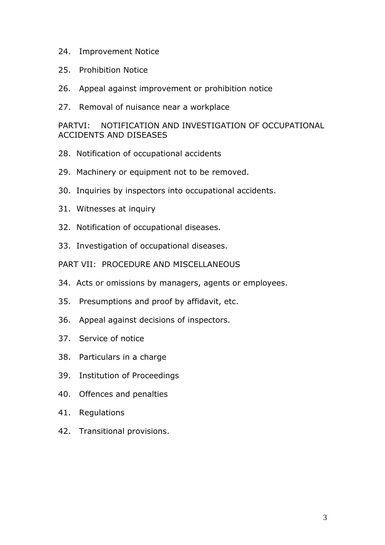- 24. Improvement Notice
- 25. Prohibition Notice
- 26. Appeal against improvement or prohibition notice
- 27. Removal of nuisance near a workplace

### PARTVI: NOTIFICATION AND INVESTIGATION OF OCCUPATIONAL ACCIDENTS AND DISEASES

- 28. Notification of occupational accidents
- 29. Machinery or equipment not to be removed.
- 30. Inquiries by inspectors into occupational accidents.
- 31. Witnesses at inquiry
- 32. Notification of occupational diseases.
- 33. Investigation of occupational diseases.
- PART VII: PROCEDURE AND MISCELLANEOUS
- 34. Acts or omissions by managers, agents or employees.
- 35. Presumptions and proof by affidavit, etc.
- 36. Appeal against decisions of inspectors.
- 37. Service of notice
- 38. Particulars in a charge
- 39. Institution of Proceedings
- 40. Offences and penalties
- 41. Regulations
- 42. Transitional provisions.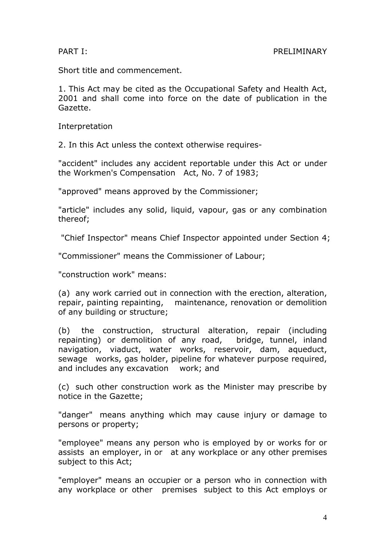Short title and commencement.

1. This Act may be cited as the Occupational Safety and Health Act, 2001 and shall come into force on the date of publication in the Gazette.

Interpretation

2. In this Act unless the context otherwise requires-

"accident" includes any accident reportable under this Act or under the Workmen's Compensation Act, No. 7 of 1983;

"approved" means approved by the Commissioner;

"article" includes any solid, liquid, vapour, gas or any combination thereof;

"Chief Inspector" means Chief Inspector appointed under Section 4;

"Commissioner" means the Commissioner of Labour;

"construction work" means:

(a) any work carried out in connection with the erection, alteration, repair, painting repainting, maintenance, renovation or demolition of any building or structure;

(b) the construction, structural alteration, repair (including repainting) or demolition of any road, bridge, tunnel, inland navigation, viaduct, water works, reservoir, dam, aqueduct, sewage works, gas holder, pipeline for whatever purpose required, and includes any excavation work; and

(c) such other construction work as the Minister may prescribe by notice in the Gazette;

"danger" means anything which may cause injury or damage to persons or property;

"employee" means any person who is employed by or works for or assists an employer, in or at any workplace or any other premises subject to this Act;

"employer" means an occupier or a person who in connection with any workplace or other premises subject to this Act employs or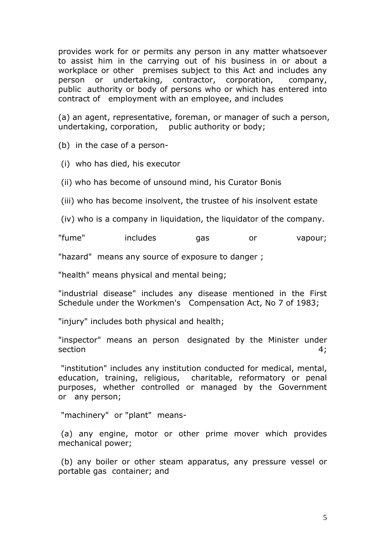provides work for or permits any person in any matter whatsoever to assist him in the carrying out of his business in or about a workplace or other premises subject to this Act and includes any person or undertaking, contractor, corporation, company, public authority or body of persons who or which has entered into contract of employment with an employee, and includes

(a) an agent, representative, foreman, or manager of such a person, undertaking, corporation, public authority or body;

(b) in the case of a person-

(i) who has died, his executor

(ii) who has become of unsound mind, his Curator Bonis

(iii) who has become insolvent, the trustee of his insolvent estate

(iv) who is a company in liquidation, the liquidator of the company.

"fume" includes gas or vapour;

"hazard" means any source of exposure to danger ;

"health" means physical and mental being;

"industrial disease" includes any disease mentioned in the First Schedule under the Workmen's Compensation Act, No 7 of 1983;

"injury" includes both physical and health;

"inspector" means an person designated by the Minister under section  $4$ ;

 "institution" includes any institution conducted for medical, mental, education, training, religious, charitable, reformatory or penal purposes, whether controlled or managed by the Government or any person;

"machinery" or "plant" means-

 (a) any engine, motor or other prime mover which provides mechanical power;

 (b) any boiler or other steam apparatus, any pressure vessel or portable gas container; and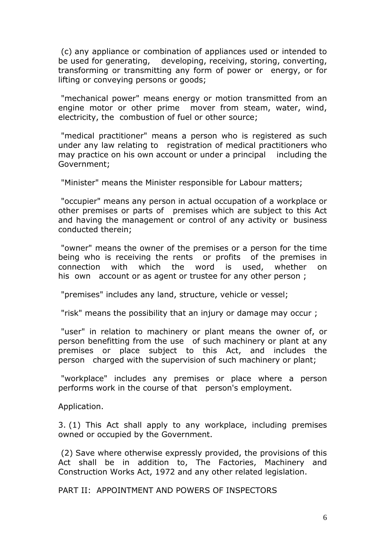(c) any appliance or combination of appliances used or intended to be used for generating, developing, receiving, storing, converting, transforming or transmitting any form of power or energy, or for lifting or conveying persons or goods;

 "mechanical power" means energy or motion transmitted from an engine motor or other prime mover from steam, water, wind, electricity, the combustion of fuel or other source;

 "medical practitioner" means a person who is registered as such under any law relating to registration of medical practitioners who may practice on his own account or under a principal including the Government;

"Minister" means the Minister responsible for Labour matters;

 "occupier" means any person in actual occupation of a workplace or other premises or parts of premises which are subject to this Act and having the management or control of any activity or business conducted therein;

 "owner" means the owner of the premises or a person for the time being who is receiving the rents or profits of the premises in connection with which the word is used, whether on his own account or as agent or trustee for any other person;

"premises" includes any land, structure, vehicle or vessel;

"risk" means the possibility that an injury or damage may occur ;

 "user" in relation to machinery or plant means the owner of, or person benefitting from the use of such machinery or plant at any premises or place subject to this Act, and includes the person charged with the supervision of such machinery or plant;

 "workplace" includes any premises or place where a person performs work in the course of that person's employment.

Application.

3. (1) This Act shall apply to any workplace, including premises owned or occupied by the Government.

 (2) Save where otherwise expressly provided, the provisions of this Act shall be in addition to, The Factories, Machinery and Construction Works Act, 1972 and any other related legislation.

PART II: APPOINTMENT AND POWERS OF INSPECTORS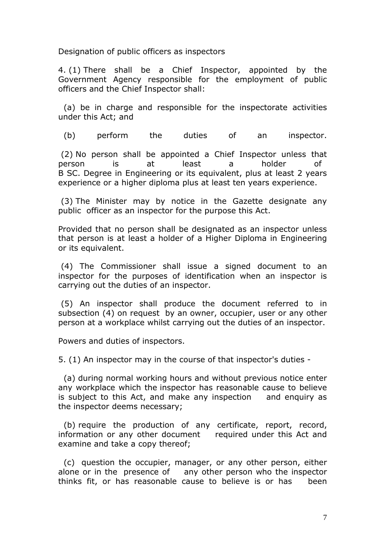Designation of public officers as inspectors

4. (1) There shall be a Chief Inspector, appointed by the Government Agency responsible for the employment of public officers and the Chief Inspector shall:

 (a) be in charge and responsible for the inspectorate activities under this Act; and

(b) perform the duties of an inspector.

 (2) No person shall be appointed a Chief Inspector unless that person is at least a holder of B SC. Degree in Engineering or its equivalent, plus at least 2 years experience or a higher diploma plus at least ten years experience.

 (3) The Minister may by notice in the Gazette designate any public officer as an inspector for the purpose this Act.

Provided that no person shall be designated as an inspector unless that person is at least a holder of a Higher Diploma in Engineering or its equivalent.

 (4) The Commissioner shall issue a signed document to an inspector for the purposes of identification when an inspector is carrying out the duties of an inspector.

 (5) An inspector shall produce the document referred to in subsection (4) on request by an owner, occupier, user or any other person at a workplace whilst carrying out the duties of an inspector.

Powers and duties of inspectors.

5. (1) An inspector may in the course of that inspector's duties -

 (a) during normal working hours and without previous notice enter any workplace which the inspector has reasonable cause to believe is subject to this Act, and make any inspection and enquiry as the inspector deems necessary;

 (b) require the production of any certificate, report, record, information or any other document required under this Act and examine and take a copy thereof;

 (c) question the occupier, manager, or any other person, either alone or in the presence of any other person who the inspector thinks fit, or has reasonable cause to believe is or has been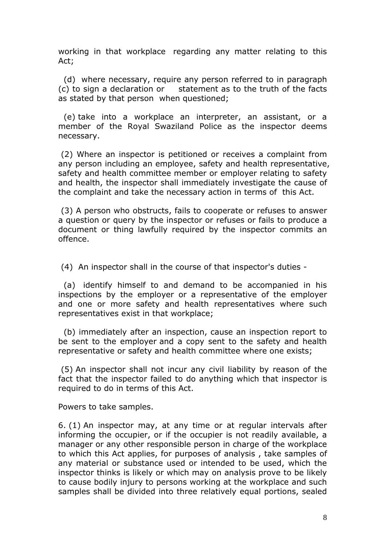working in that workplace regarding any matter relating to this Act;

 (d) where necessary, require any person referred to in paragraph (c) to sign a declaration or statement as to the truth of the facts as stated by that person when questioned;

 (e) take into a workplace an interpreter, an assistant, or a member of the Royal Swaziland Police as the inspector deems necessary.

 (2) Where an inspector is petitioned or receives a complaint from any person including an employee, safety and health representative, safety and health committee member or employer relating to safety and health, the inspector shall immediately investigate the cause of the complaint and take the necessary action in terms of this Act.

 (3) A person who obstructs, fails to cooperate or refuses to answer a question or query by the inspector or refuses or fails to produce a document or thing lawfully required by the inspector commits an offence.

(4) An inspector shall in the course of that inspector's duties -

 (a) identify himself to and demand to be accompanied in his inspections by the employer or a representative of the employer and one or more safety and health representatives where such representatives exist in that workplace;

 (b) immediately after an inspection, cause an inspection report to be sent to the employer and a copy sent to the safety and health representative or safety and health committee where one exists;

 (5) An inspector shall not incur any civil liability by reason of the fact that the inspector failed to do anything which that inspector is required to do in terms of this Act.

Powers to take samples.

6. (1) An inspector may, at any time or at regular intervals after informing the occupier, or if the occupier is not readily available, a manager or any other responsible person in charge of the workplace to which this Act applies, for purposes of analysis , take samples of any material or substance used or intended to be used, which the inspector thinks is likely or which may on analysis prove to be likely to cause bodily injury to persons working at the workplace and such samples shall be divided into three relatively equal portions, sealed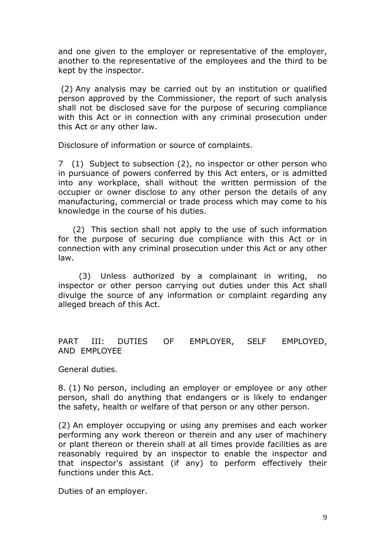and one given to the employer or representative of the employer, another to the representative of the employees and the third to be kept by the inspector.

 (2) Any analysis may be carried out by an institution or qualified person approved by the Commissioner, the report of such analysis shall not be disclosed save for the purpose of securing compliance with this Act or in connection with any criminal prosecution under this Act or any other law.

Disclosure of information or source of complaints.

7 (1) Subject to subsection (2), no inspector or other person who in pursuance of powers conferred by this Act enters, or is admitted into any workplace, shall without the written permission of the occupier or owner disclose to any other person the details of any manufacturing, commercial or trade process which may come to his knowledge in the course of his duties.

 (2) This section shall not apply to the use of such information for the purpose of securing due compliance with this Act or in connection with any criminal prosecution under this Act or any other law.

 (3) Unless authorized by a complainant in writing, no inspector or other person carrying out duties under this Act shall divulge the source of any information or complaint regarding any alleged breach of this Act.

PART III: DUTIES OF EMPLOYER, SELF EMPLOYED, AND EMPLOYEE

General duties.

8. (1) No person, including an employer or employee or any other person, shall do anything that endangers or is likely to endanger the safety, health or welfare of that person or any other person.

(2) An employer occupying or using any premises and each worker performing any work thereon or therein and any user of machinery or plant thereon or therein shall at all times provide facilities as are reasonably required by an inspector to enable the inspector and that inspector's assistant (if any) to perform effectively their functions under this Act.

Duties of an employer.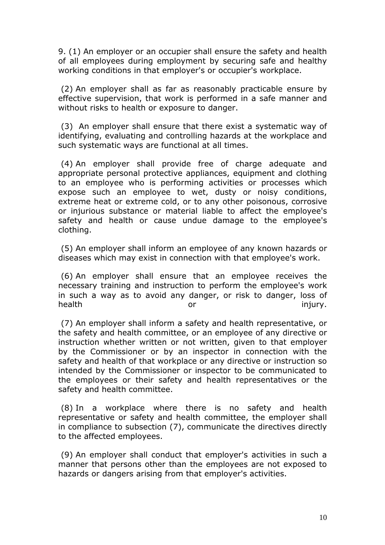9. (1) An employer or an occupier shall ensure the safety and health of all employees during employment by securing safe and healthy working conditions in that employer's or occupier's workplace.

 (2) An employer shall as far as reasonably practicable ensure by effective supervision, that work is performed in a safe manner and without risks to health or exposure to danger.

 (3) An employer shall ensure that there exist a systematic way of identifying, evaluating and controlling hazards at the workplace and such systematic ways are functional at all times.

 (4) An employer shall provide free of charge adequate and appropriate personal protective appliances, equipment and clothing to an employee who is performing activities or processes which expose such an employee to wet, dusty or noisy conditions, extreme heat or extreme cold, or to any other poisonous, corrosive or injurious substance or material liable to affect the employee's safety and health or cause undue damage to the employee's clothing.

 (5) An employer shall inform an employee of any known hazards or diseases which may exist in connection with that employee's work.

 (6) An employer shall ensure that an employee receives the necessary training and instruction to perform the employee's work in such a way as to avoid any danger, or risk to danger, loss of health **or** or injury.

 (7) An employer shall inform a safety and health representative, or the safety and health committee, or an employee of any directive or instruction whether written or not written, given to that employer by the Commissioner or by an inspector in connection with the safety and health of that workplace or any directive or instruction so intended by the Commissioner or inspector to be communicated to the employees or their safety and health representatives or the safety and health committee.

 (8) In a workplace where there is no safety and health representative or safety and health committee, the employer shall in compliance to subsection (7), communicate the directives directly to the affected employees.

 (9) An employer shall conduct that employer's activities in such a manner that persons other than the employees are not exposed to hazards or dangers arising from that employer's activities.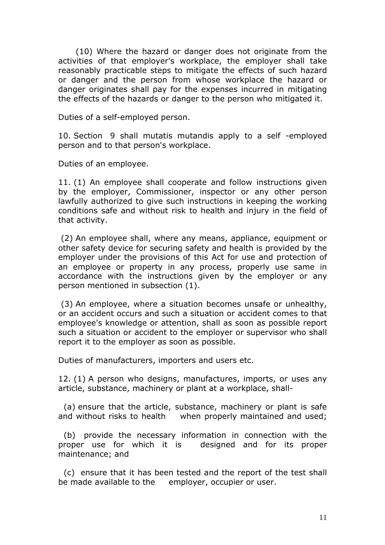(10) Where the hazard or danger does not originate from the activities of that employer's workplace, the employer shall take reasonably practicable steps to mitigate the effects of such hazard or danger and the person from whose workplace the hazard or danger originates shall pay for the expenses incurred in mitigating the effects of the hazards or danger to the person who mitigated it.

Duties of a self-employed person.

10. Section 9 shall mutatis mutandis apply to a self -employed person and to that person's workplace.

Duties of an employee.

11. (1) An employee shall cooperate and follow instructions given by the employer, Commissioner, inspector or any other person lawfully authorized to give such instructions in keeping the working conditions safe and without risk to health and injury in the field of that activity.

 (2) An employee shall, where any means, appliance, equipment or other safety device for securing safety and health is provided by the employer under the provisions of this Act for use and protection of an employee or property in any process, properly use same in accordance with the instructions given by the employer or any person mentioned in subsection (1).

 (3) An employee, where a situation becomes unsafe or unhealthy, or an accident occurs and such a situation or accident comes to that employee's knowledge or attention, shall as soon as possible report such a situation or accident to the employer or supervisor who shall report it to the employer as soon as possible.

Duties of manufacturers, importers and users etc.

12. (1) A person who designs, manufactures, imports, or uses any article, substance, machinery or plant at a workplace, shall-

 (a) ensure that the article, substance, machinery or plant is safe and without risks to health when properly maintained and used;

 (b) provide the necessary information in connection with the proper use for which it is designed and for its proper maintenance; and

 (c) ensure that it has been tested and the report of the test shall be made available to the employer, occupier or user.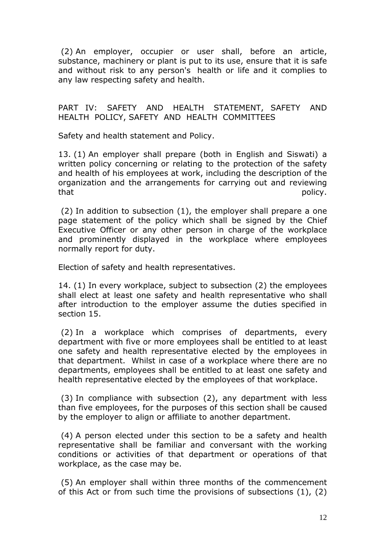(2) An employer, occupier or user shall, before an article, substance, machinery or plant is put to its use, ensure that it is safe and without risk to any person's health or life and it complies to any law respecting safety and health.

#### PART IV: SAFETY AND HEALTH STATEMENT, SAFETY AND HEALTH POLICY, SAFETY AND HEALTH COMMITTEES

Safety and health statement and Policy.

13. (1) An employer shall prepare (both in English and Siswati) a written policy concerning or relating to the protection of the safety and health of his employees at work, including the description of the organization and the arrangements for carrying out and reviewing that policy.

 (2) In addition to subsection (1), the employer shall prepare a one page statement of the policy which shall be signed by the Chief Executive Officer or any other person in charge of the workplace and prominently displayed in the workplace where employees normally report for duty.

Election of safety and health representatives.

14. (1) In every workplace, subject to subsection (2) the employees shall elect at least one safety and health representative who shall after introduction to the employer assume the duties specified in section 15.

 (2) In a workplace which comprises of departments, every department with five or more employees shall be entitled to at least one safety and health representative elected by the employees in that department. Whilst in case of a workplace where there are no departments, employees shall be entitled to at least one safety and health representative elected by the employees of that workplace.

 (3) In compliance with subsection (2), any department with less than five employees, for the purposes of this section shall be caused by the employer to align or affiliate to another department.

 (4) A person elected under this section to be a safety and health representative shall be familiar and conversant with the working conditions or activities of that department or operations of that workplace, as the case may be.

 (5) An employer shall within three months of the commencement of this Act or from such time the provisions of subsections (1), (2)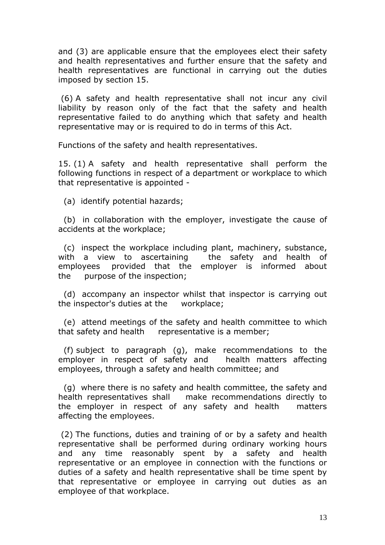and (3) are applicable ensure that the employees elect their safety and health representatives and further ensure that the safety and health representatives are functional in carrying out the duties imposed by section 15.

 (6) A safety and health representative shall not incur any civil liability by reason only of the fact that the safety and health representative failed to do anything which that safety and health representative may or is required to do in terms of this Act.

Functions of the safety and health representatives.

15. (1) A safety and health representative shall perform the following functions in respect of a department or workplace to which that representative is appointed -

(a) identify potential hazards;

 (b) in collaboration with the employer, investigate the cause of accidents at the workplace;

 (c) inspect the workplace including plant, machinery, substance, with a view to ascertaining the safety and health of employees provided that the employer is informed about the purpose of the inspection;

 (d) accompany an inspector whilst that inspector is carrying out the inspector's duties at the workplace;

 (e) attend meetings of the safety and health committee to which that safety and health representative is a member;

 (f) subject to paragraph (g), make recommendations to the employer in respect of safety and health matters affecting employees, through a safety and health committee; and

 (g) where there is no safety and health committee, the safety and health representatives shall make recommendations directly to the employer in respect of any safety and health matters affecting the employees.

 (2) The functions, duties and training of or by a safety and health representative shall be performed during ordinary working hours and any time reasonably spent by a safety and health representative or an employee in connection with the functions or duties of a safety and health representative shall be time spent by that representative or employee in carrying out duties as an employee of that workplace.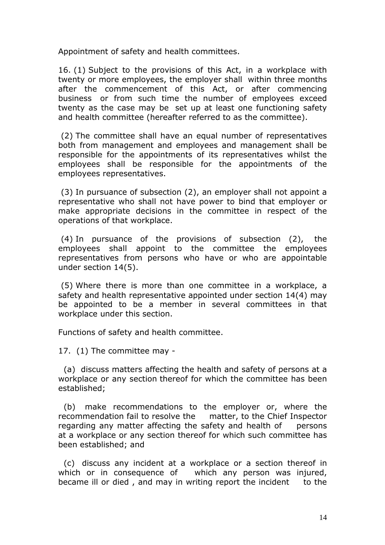Appointment of safety and health committees.

16. (1) Subject to the provisions of this Act, in a workplace with twenty or more employees, the employer shall within three months after the commencement of this Act, or after commencing business or from such time the number of employees exceed twenty as the case may be set up at least one functioning safety and health committee (hereafter referred to as the committee).

 (2) The committee shall have an equal number of representatives both from management and employees and management shall be responsible for the appointments of its representatives whilst the employees shall be responsible for the appointments of the employees representatives.

 (3) In pursuance of subsection (2), an employer shall not appoint a representative who shall not have power to bind that employer or make appropriate decisions in the committee in respect of the operations of that workplace.

 (4) In pursuance of the provisions of subsection (2), the employees shall appoint to the committee the employees representatives from persons who have or who are appointable under section 14(5).

 (5) Where there is more than one committee in a workplace, a safety and health representative appointed under section 14(4) may be appointed to be a member in several committees in that workplace under this section.

Functions of safety and health committee.

17. (1) The committee may -

 (a) discuss matters affecting the health and safety of persons at a workplace or any section thereof for which the committee has been established;

 (b) make recommendations to the employer or, where the recommendation fail to resolve the matter, to the Chief Inspector regarding any matter affecting the safety and health of persons at a workplace or any section thereof for which such committee has been established; and

 (c) discuss any incident at a workplace or a section thereof in which or in consequence of which any person was injured, became ill or died, and may in writing report the incident to the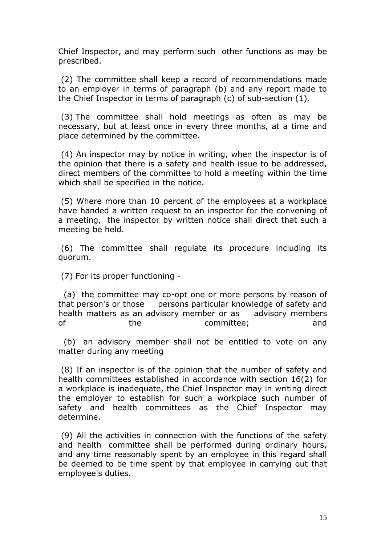Chief Inspector, and may perform such other functions as may be prescribed.

 (2) The committee shall keep a record of recommendations made to an employer in terms of paragraph (b) and any report made to the Chief Inspector in terms of paragraph (c) of sub-section (1).

 (3) The committee shall hold meetings as often as may be necessary, but at least once in every three months, at a time and place determined by the committee.

 (4) An inspector may by notice in writing, when the inspector is of the opinion that there is a safety and health issue to be addressed, direct members of the committee to hold a meeting within the time which shall be specified in the notice.

 (5) Where more than 10 percent of the employees at a workplace have handed a written request to an inspector for the convening of a meeting, the inspector by written notice shall direct that such a meeting be held.

 (6) The committee shall regulate its procedure including its quorum.

(7) For its proper functioning -

 (a) the committee may co-opt one or more persons by reason of that person's or those persons particular knowledge of safety and health matters as an advisory member or as advisory members of the committee; and

 (b) an advisory member shall not be entitled to vote on any matter during any meeting

 (8) If an inspector is of the opinion that the number of safety and health committees established in accordance with section 16(2) for a workplace is inadequate, the Chief Inspector may in writing direct the employer to establish for such a workplace such number of safety and health committees as the Chief Inspector may determine.

 (9) All the activities in connection with the functions of the safety and health committee shall be performed during ordinary hours, and any time reasonably spent by an employee in this regard shall be deemed to be time spent by that employee in carrying out that employee's duties.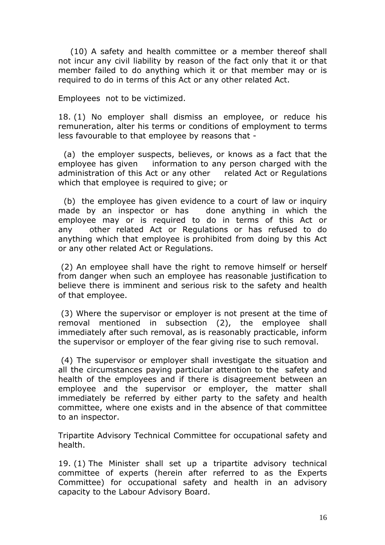(10) A safety and health committee or a member thereof shall not incur any civil liability by reason of the fact only that it or that member failed to do anything which it or that member may or is required to do in terms of this Act or any other related Act.

Employees not to be victimized.

18. (1) No employer shall dismiss an employee, or reduce his remuneration, alter his terms or conditions of employment to terms less favourable to that employee by reasons that -

 (a) the employer suspects, believes, or knows as a fact that the employee has given information to any person charged with the administration of this Act or any other related Act or Regulations which that employee is required to give; or

 (b) the employee has given evidence to a court of law or inquiry made by an inspector or has done anything in which the employee may or is required to do in terms of this Act or any other related Act or Regulations or has refused to do anything which that employee is prohibited from doing by this Act or any other related Act or Regulations.

 (2) An employee shall have the right to remove himself or herself from danger when such an employee has reasonable justification to believe there is imminent and serious risk to the safety and health of that employee.

 (3) Where the supervisor or employer is not present at the time of removal mentioned in subsection (2), the employee shall immediately after such removal, as is reasonably practicable, inform the supervisor or employer of the fear giving rise to such removal.

 (4) The supervisor or employer shall investigate the situation and all the circumstances paying particular attention to the safety and health of the employees and if there is disagreement between an employee and the supervisor or employer, the matter shall immediately be referred by either party to the safety and health committee, where one exists and in the absence of that committee to an inspector.

Tripartite Advisory Technical Committee for occupational safety and health.

19. (1) The Minister shall set up a tripartite advisory technical committee of experts (herein after referred to as the Experts Committee) for occupational safety and health in an advisory capacity to the Labour Advisory Board.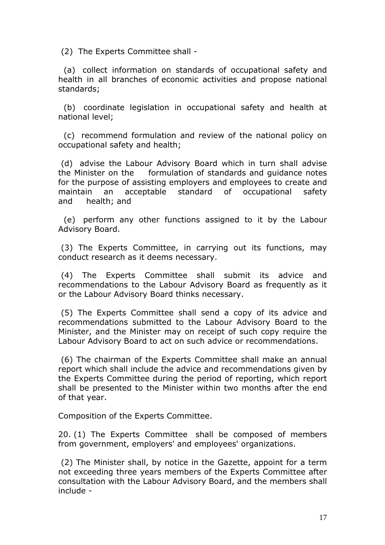(2) The Experts Committee shall -

 (a) collect information on standards of occupational safety and health in all branches of economic activities and propose national standards;

 (b) coordinate legislation in occupational safety and health at national level;

 (c) recommend formulation and review of the national policy on occupational safety and health;

 (d) advise the Labour Advisory Board which in turn shall advise the Minister on the formulation of standards and guidance notes for the purpose of assisting employers and employees to create and maintain an acceptable standard of occupational safety and health; and

 (e) perform any other functions assigned to it by the Labour Advisory Board.

 (3) The Experts Committee, in carrying out its functions, may conduct research as it deems necessary.

 (4) The Experts Committee shall submit its advice and recommendations to the Labour Advisory Board as frequently as it or the Labour Advisory Board thinks necessary.

 (5) The Experts Committee shall send a copy of its advice and recommendations submitted to the Labour Advisory Board to the Minister, and the Minister may on receipt of such copy require the Labour Advisory Board to act on such advice or recommendations.

 (6) The chairman of the Experts Committee shall make an annual report which shall include the advice and recommendations given by the Experts Committee during the period of reporting, which report shall be presented to the Minister within two months after the end of that year.

Composition of the Experts Committee.

20. (1) The Experts Committee shall be composed of members from government, employers' and employees' organizations.

 (2) The Minister shall, by notice in the Gazette, appoint for a term not exceeding three years members of the Experts Committee after consultation with the Labour Advisory Board, and the members shall include -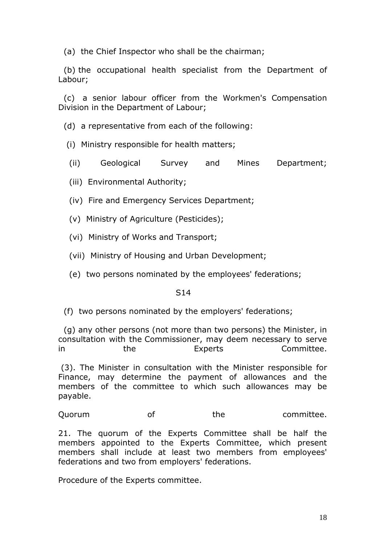(a) the Chief Inspector who shall be the chairman;

 (b) the occupational health specialist from the Department of Labour;

 (c) a senior labour officer from the Workmen's Compensation Division in the Department of Labour;

(d) a representative from each of the following:

- (i) Ministry responsible for health matters;
- (ii) Geological Survey and Mines Department;
- (iii) Environmental Authority;
- (iv) Fire and Emergency Services Department;
- (v) Ministry of Agriculture (Pesticides);
- (vi) Ministry of Works and Transport;
- (vii) Ministry of Housing and Urban Development;
- (e) two persons nominated by the employees' federations;

#### S<sub>14</sub>

(f) two persons nominated by the employers' federations;

 (g) any other persons (not more than two persons) the Minister, in consultation with the Commissioner, may deem necessary to serve in the Experts Committee.

 (3). The Minister in consultation with the Minister responsible for Finance, may determine the payment of allowances and the members of the committee to which such allowances may be payable.

Ouorum of the committee.

21. The quorum of the Experts Committee shall be half the members appointed to the Experts Committee, which present members shall include at least two members from employees' federations and two from employers' federations.

Procedure of the Experts committee.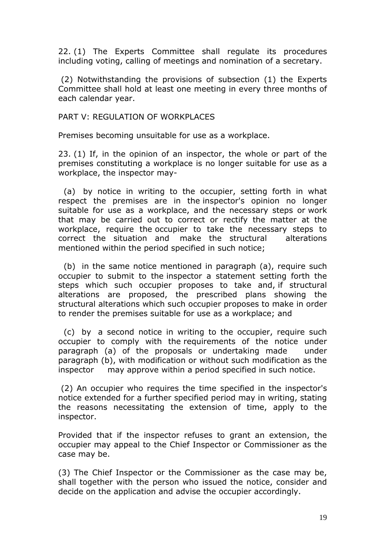22. (1) The Experts Committee shall regulate its procedures including voting, calling of meetings and nomination of a secretary.

 (2) Notwithstanding the provisions of subsection (1) the Experts Committee shall hold at least one meeting in every three months of each calendar year.

#### PART V: REGULATION OF WORKPLACES

Premises becoming unsuitable for use as a workplace.

23. (1) If, in the opinion of an inspector, the whole or part of the premises constituting a workplace is no longer suitable for use as a workplace, the inspector may-

 (a) by notice in writing to the occupier, setting forth in what respect the premises are in the inspector's opinion no longer suitable for use as a workplace, and the necessary steps or work that may be carried out to correct or rectify the matter at the workplace, require the occupier to take the necessary steps to correct the situation and make the structural alterations mentioned within the period specified in such notice;

 (b) in the same notice mentioned in paragraph (a), require such occupier to submit to the inspector a statement setting forth the steps which such occupier proposes to take and, if structural alterations are proposed, the prescribed plans showing the structural alterations which such occupier proposes to make in order to render the premises suitable for use as a workplace; and

 (c) by a second notice in writing to the occupier, require such occupier to comply with the requirements of the notice under paragraph (a) of the proposals or undertaking made under paragraph (b), with modification or without such modification as the inspector may approve within a period specified in such notice.

 (2) An occupier who requires the time specified in the inspector's notice extended for a further specified period may in writing, stating the reasons necessitating the extension of time, apply to the inspector.

Provided that if the inspector refuses to grant an extension, the occupier may appeal to the Chief Inspector or Commissioner as the case may be.

(3) The Chief Inspector or the Commissioner as the case may be, shall together with the person who issued the notice, consider and decide on the application and advise the occupier accordingly.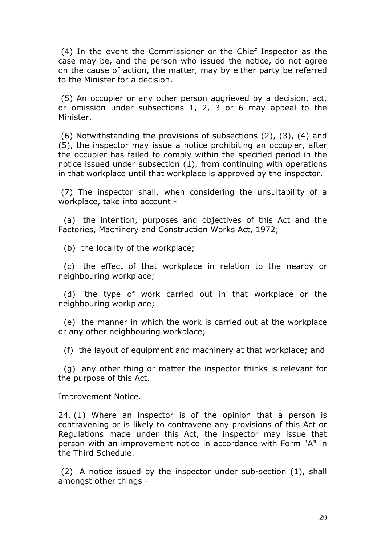(4) In the event the Commissioner or the Chief Inspector as the case may be, and the person who issued the notice, do not agree on the cause of action, the matter, may by either party be referred to the Minister for a decision.

 (5) An occupier or any other person aggrieved by a decision, act, or omission under subsections 1, 2, 3 or 6 may appeal to the Minister.

 (6) Notwithstanding the provisions of subsections (2), (3), (4) and (5), the inspector may issue a notice prohibiting an occupier, after the occupier has failed to comply within the specified period in the notice issued under subsection (1), from continuing with operations in that workplace until that workplace is approved by the inspector.

 (7) The inspector shall, when considering the unsuitability of a workplace, take into account -

 (a) the intention, purposes and objectives of this Act and the Factories, Machinery and Construction Works Act, 1972;

(b) the locality of the workplace;

 (c) the effect of that workplace in relation to the nearby or neighbouring workplace;

 (d) the type of work carried out in that workplace or the neighbouring workplace;

 (e) the manner in which the work is carried out at the workplace or any other neighbouring workplace;

(f) the layout of equipment and machinery at that workplace; and

 (g) any other thing or matter the inspector thinks is relevant for the purpose of this Act.

Improvement Notice.

24. (1) Where an inspector is of the opinion that a person is contravening or is likely to contravene any provisions of this Act or Regulations made under this Act, the inspector may issue that person with an improvement notice in accordance with Form "A" in the Third Schedule.

 (2) A notice issued by the inspector under sub-section (1), shall amongst other things -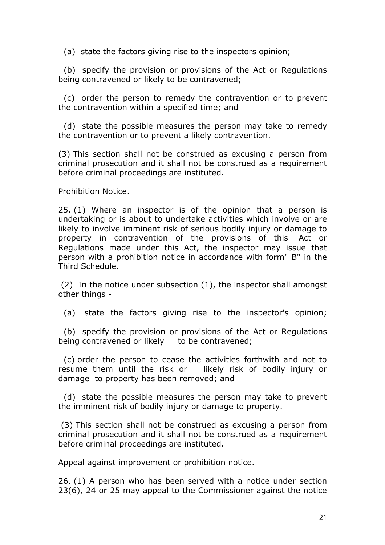(a) state the factors giving rise to the inspectors opinion;

 (b) specify the provision or provisions of the Act or Regulations being contravened or likely to be contravened;

 (c) order the person to remedy the contravention or to prevent the contravention within a specified time; and

 (d) state the possible measures the person may take to remedy the contravention or to prevent a likely contravention.

(3) This section shall not be construed as excusing a person from criminal prosecution and it shall not be construed as a requirement before criminal proceedings are instituted.

Prohibition Notice.

25. (1) Where an inspector is of the opinion that a person is undertaking or is about to undertake activities which involve or are likely to involve imminent risk of serious bodily injury or damage to property in contravention of the provisions of this Act or Regulations made under this Act, the inspector may issue that person with a prohibition notice in accordance with form" B" in the Third Schedule.

 (2) In the notice under subsection (1), the inspector shall amongst other things -

(a) state the factors giving rise to the inspector's opinion;

 (b) specify the provision or provisions of the Act or Regulations being contravened or likely to be contravened;

 (c) order the person to cease the activities forthwith and not to resume them until the risk or likely risk of bodily injury or damage to property has been removed; and

 (d) state the possible measures the person may take to prevent the imminent risk of bodily injury or damage to property.

 (3) This section shall not be construed as excusing a person from criminal prosecution and it shall not be construed as a requirement before criminal proceedings are instituted.

Appeal against improvement or prohibition notice.

26. (1) A person who has been served with a notice under section 23(6), 24 or 25 may appeal to the Commissioner against the notice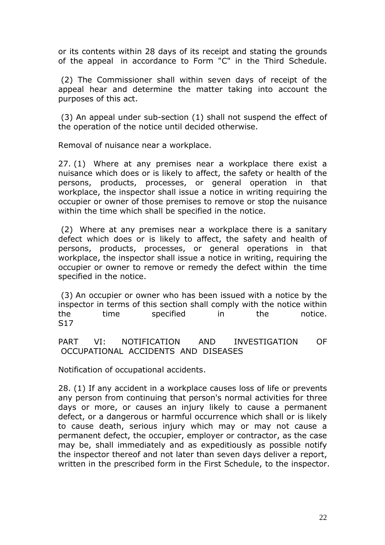or its contents within 28 days of its receipt and stating the grounds of the appeal in accordance to Form "C" in the Third Schedule.

 (2) The Commissioner shall within seven days of receipt of the appeal hear and determine the matter taking into account the purposes of this act.

 (3) An appeal under sub-section (1) shall not suspend the effect of the operation of the notice until decided otherwise.

Removal of nuisance near a workplace.

27. (1) Where at any premises near a workplace there exist a nuisance which does or is likely to affect, the safety or health of the persons, products, processes, or general operation in that workplace, the inspector shall issue a notice in writing requiring the occupier or owner of those premises to remove or stop the nuisance within the time which shall be specified in the notice.

 (2) Where at any premises near a workplace there is a sanitary defect which does or is likely to affect, the safety and health of persons, products, processes, or general operations in that workplace, the inspector shall issue a notice in writing, requiring the occupier or owner to remove or remedy the defect within the time specified in the notice.

 (3) An occupier or owner who has been issued with a notice by the inspector in terms of this section shall comply with the notice within the time specified in the notice. S17

PART VI: NOTIFICATION AND INVESTIGATION OF OCCUPATIONAL ACCIDENTS AND DISEASES

Notification of occupational accidents.

28. (1) If any accident in a workplace causes loss of life or prevents any person from continuing that person's normal activities for three days or more, or causes an injury likely to cause a permanent defect, or a dangerous or harmful occurrence which shall or is likely to cause death, serious injury which may or may not cause a permanent defect, the occupier, employer or contractor, as the case may be, shall immediately and as expeditiously as possible notify the inspector thereof and not later than seven days deliver a report, written in the prescribed form in the First Schedule, to the inspector.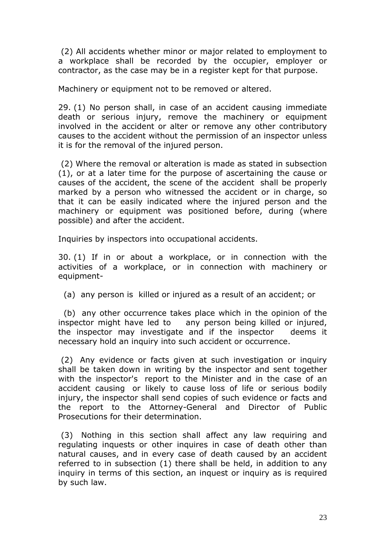(2) All accidents whether minor or major related to employment to a workplace shall be recorded by the occupier, employer or contractor, as the case may be in a register kept for that purpose.

Machinery or equipment not to be removed or altered.

29. (1) No person shall, in case of an accident causing immediate death or serious injury, remove the machinery or equipment involved in the accident or alter or remove any other contributory causes to the accident without the permission of an inspector unless it is for the removal of the injured person.

 (2) Where the removal or alteration is made as stated in subsection (1), or at a later time for the purpose of ascertaining the cause or causes of the accident, the scene of the accident shall be properly marked by a person who witnessed the accident or in charge, so that it can be easily indicated where the injured person and the machinery or equipment was positioned before, during (where possible) and after the accident.

Inquiries by inspectors into occupational accidents.

30. (1) If in or about a workplace, or in connection with the activities of a workplace, or in connection with machinery or equipment-

(a) any person is killed or injured as a result of an accident; or

 (b) any other occurrence takes place which in the opinion of the inspector might have led to any person being killed or injured, the inspector may investigate and if the inspector deems it necessary hold an inquiry into such accident or occurrence.

 (2) Any evidence or facts given at such investigation or inquiry shall be taken down in writing by the inspector and sent together with the inspector's report to the Minister and in the case of an accident causing or likely to cause loss of life or serious bodily injury, the inspector shall send copies of such evidence or facts and the report to the Attorney-General and Director of Public Prosecutions for their determination.

 (3) Nothing in this section shall affect any law requiring and regulating inquests or other inquires in case of death other than natural causes, and in every case of death caused by an accident referred to in subsection (1) there shall be held, in addition to any inquiry in terms of this section, an inquest or inquiry as is required by such law.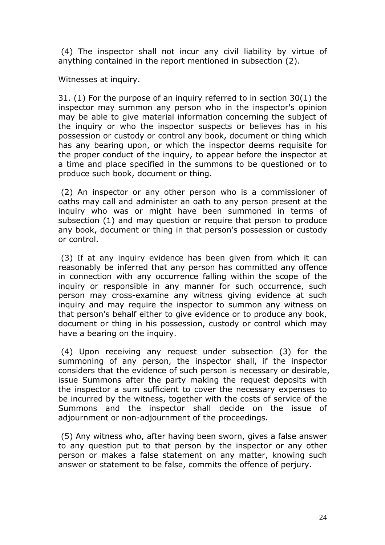(4) The inspector shall not incur any civil liability by virtue of anything contained in the report mentioned in subsection (2).

Witnesses at inquiry.

31. (1) For the purpose of an inquiry referred to in section 30(1) the inspector may summon any person who in the inspector's opinion may be able to give material information concerning the subject of the inquiry or who the inspector suspects or believes has in his possession or custody or control any book, document or thing which has any bearing upon, or which the inspector deems requisite for the proper conduct of the inquiry, to appear before the inspector at a time and place specified in the summons to be questioned or to produce such book, document or thing.

 (2) An inspector or any other person who is a commissioner of oaths may call and administer an oath to any person present at the inquiry who was or might have been summoned in terms of subsection (1) and may question or require that person to produce any book, document or thing in that person's possession or custody or control.

 (3) If at any inquiry evidence has been given from which it can reasonably be inferred that any person has committed any offence in connection with any occurrence falling within the scope of the inquiry or responsible in any manner for such occurrence, such person may cross-examine any witness giving evidence at such inquiry and may require the inspector to summon any witness on that person's behalf either to give evidence or to produce any book, document or thing in his possession, custody or control which may have a bearing on the inquiry.

 (4) Upon receiving any request under subsection (3) for the summoning of any person, the inspector shall, if the inspector considers that the evidence of such person is necessary or desirable, issue Summons after the party making the request deposits with the inspector a sum sufficient to cover the necessary expenses to be incurred by the witness, together with the costs of service of the Summons and the inspector shall decide on the issue of adjournment or non-adjournment of the proceedings.

 (5) Any witness who, after having been sworn, gives a false answer to any question put to that person by the inspector or any other person or makes a false statement on any matter, knowing such answer or statement to be false, commits the offence of perjury.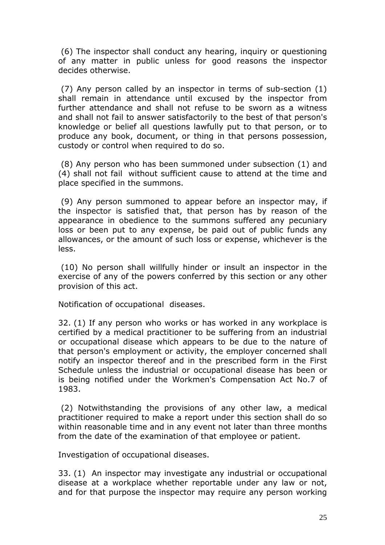(6) The inspector shall conduct any hearing, inquiry or questioning of any matter in public unless for good reasons the inspector decides otherwise.

 (7) Any person called by an inspector in terms of sub-section (1) shall remain in attendance until excused by the inspector from further attendance and shall not refuse to be sworn as a witness and shall not fail to answer satisfactorily to the best of that person's knowledge or belief all questions lawfully put to that person, or to produce any book, document, or thing in that persons possession, custody or control when required to do so.

 (8) Any person who has been summoned under subsection (1) and (4) shall not fail without sufficient cause to attend at the time and place specified in the summons.

 (9) Any person summoned to appear before an inspector may, if the inspector is satisfied that, that person has by reason of the appearance in obedience to the summons suffered any pecuniary loss or been put to any expense, be paid out of public funds any allowances, or the amount of such loss or expense, whichever is the less.

 (10) No person shall willfully hinder or insult an inspector in the exercise of any of the powers conferred by this section or any other provision of this act.

Notification of occupational diseases.

32. (1) If any person who works or has worked in any workplace is certified by a medical practitioner to be suffering from an industrial or occupational disease which appears to be due to the nature of that person's employment or activity, the employer concerned shall notify an inspector thereof and in the prescribed form in the First Schedule unless the industrial or occupational disease has been or is being notified under the Workmen's Compensation Act No.7 of 1983.

 (2) Notwithstanding the provisions of any other law, a medical practitioner required to make a report under this section shall do so within reasonable time and in any event not later than three months from the date of the examination of that employee or patient.

Investigation of occupational diseases.

33. (1) An inspector may investigate any industrial or occupational disease at a workplace whether reportable under any law or not, and for that purpose the inspector may require any person working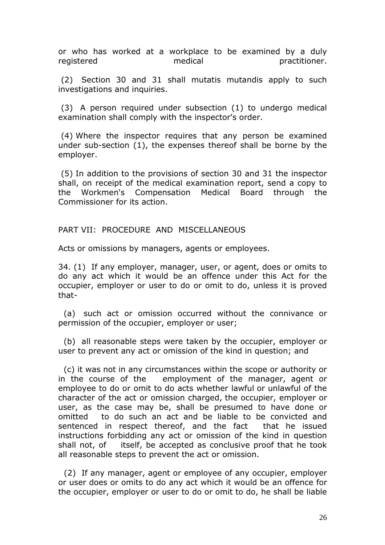or who has worked at a workplace to be examined by a duly registered medical practitioner.

 (2) Section 30 and 31 shall mutatis mutandis apply to such investigations and inquiries.

 (3) A person required under subsection (1) to undergo medical examination shall comply with the inspector's order.

 (4) Where the inspector requires that any person be examined under sub-section (1), the expenses thereof shall be borne by the employer.

 (5) In addition to the provisions of section 30 and 31 the inspector shall, on receipt of the medical examination report, send a copy to the Workmen's Compensation Medical Board through the Commissioner for its action.

#### PART VII: PROCEDURE AND MISCELLANEOUS

Acts or omissions by managers, agents or employees.

34. (1) If any employer, manager, user, or agent, does or omits to do any act which it would be an offence under this Act for the occupier, employer or user to do or omit to do, unless it is proved that-

 (a) such act or omission occurred without the connivance or permission of the occupier, employer or user;

 (b) all reasonable steps were taken by the occupier, employer or user to prevent any act or omission of the kind in question; and

 (c) it was not in any circumstances within the scope or authority or in the course of the employment of the manager, agent or employee to do or omit to do acts whether lawful or unlawful of the character of the act or omission charged, the occupier, employer or user, as the case may be, shall be presumed to have done or omitted to do such an act and be liable to be convicted and sentenced in respect thereof, and the fact that he issued instructions forbidding any act or omission of the kind in question shall not, of itself, be accepted as conclusive proof that he took all reasonable steps to prevent the act or omission.

 (2) If any manager, agent or employee of any occupier, employer or user does or omits to do any act which it would be an offence for the occupier, employer or user to do or omit to do, he shall be liable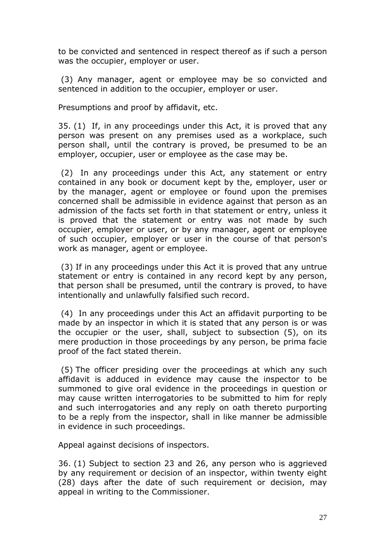to be convicted and sentenced in respect thereof as if such a person was the occupier, employer or user.

 (3) Any manager, agent or employee may be so convicted and sentenced in addition to the occupier, employer or user.

Presumptions and proof by affidavit, etc.

35. (1) If, in any proceedings under this Act, it is proved that any person was present on any premises used as a workplace, such person shall, until the contrary is proved, be presumed to be an employer, occupier, user or employee as the case may be.

 (2) In any proceedings under this Act, any statement or entry contained in any book or document kept by the, employer, user or by the manager, agent or employee or found upon the premises concerned shall be admissible in evidence against that person as an admission of the facts set forth in that statement or entry, unless it is proved that the statement or entry was not made by such occupier, employer or user, or by any manager, agent or employee of such occupier, employer or user in the course of that person's work as manager, agent or employee.

 (3) If in any proceedings under this Act it is proved that any untrue statement or entry is contained in any record kept by any person, that person shall be presumed, until the contrary is proved, to have intentionally and unlawfully falsified such record.

 (4) In any proceedings under this Act an affidavit purporting to be made by an inspector in which it is stated that any person is or was the occupier or the user, shall, subject to subsection (5), on its mere production in those proceedings by any person, be prima facie proof of the fact stated therein.

 (5) The officer presiding over the proceedings at which any such affidavit is adduced in evidence may cause the inspector to be summoned to give oral evidence in the proceedings in question or may cause written interrogatories to be submitted to him for reply and such interrogatories and any reply on oath thereto purporting to be a reply from the inspector, shall in like manner be admissible in evidence in such proceedings.

Appeal against decisions of inspectors.

36. (1) Subject to section 23 and 26, any person who is aggrieved by any requirement or decision of an inspector, within twenty eight (28) days after the date of such requirement or decision, may appeal in writing to the Commissioner.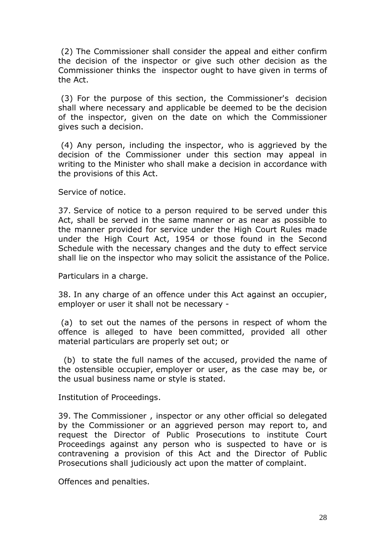(2) The Commissioner shall consider the appeal and either confirm the decision of the inspector or give such other decision as the Commissioner thinks the inspector ought to have given in terms of the Act.

 (3) For the purpose of this section, the Commissioner's decision shall where necessary and applicable be deemed to be the decision of the inspector, given on the date on which the Commissioner gives such a decision.

 (4) Any person, including the inspector, who is aggrieved by the decision of the Commissioner under this section may appeal in writing to the Minister who shall make a decision in accordance with the provisions of this Act.

Service of notice.

37. Service of notice to a person required to be served under this Act, shall be served in the same manner or as near as possible to the manner provided for service under the High Court Rules made under the High Court Act, 1954 or those found in the Second Schedule with the necessary changes and the duty to effect service shall lie on the inspector who may solicit the assistance of the Police.

Particulars in a charge.

38. In any charge of an offence under this Act against an occupier, employer or user it shall not be necessary -

 (a) to set out the names of the persons in respect of whom the offence is alleged to have been committed, provided all other material particulars are properly set out; or

 (b) to state the full names of the accused, provided the name of the ostensible occupier, employer or user, as the case may be, or the usual business name or style is stated.

Institution of Proceedings.

39. The Commissioner , inspector or any other official so delegated by the Commissioner or an aggrieved person may report to, and request the Director of Public Prosecutions to institute Court Proceedings against any person who is suspected to have or is contravening a provision of this Act and the Director of Public Prosecutions shall judiciously act upon the matter of complaint.

Offences and penalties.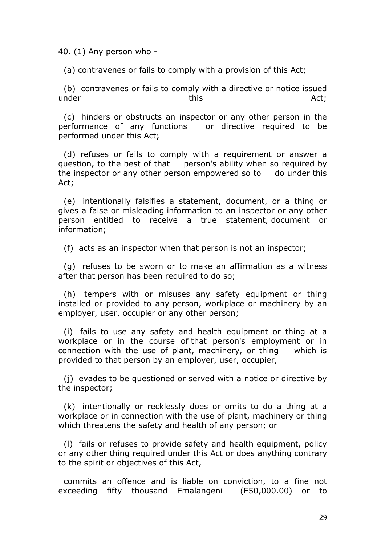40. (1) Any person who -

(a) contravenes or fails to comply with a provision of this Act;

 (b) contravenes or fails to comply with a directive or notice issued under this this the Act;

 (c) hinders or obstructs an inspector or any other person in the performance of any functions or directive required to be performed under this Act;

 (d) refuses or fails to comply with a requirement or answer a question, to the best of that person's ability when so required by the inspector or any other person empowered so to do under this Act;

 (e) intentionally falsifies a statement, document, or a thing or gives a false or misleading information to an inspector or any other person entitled to receive a true statement, document or information;

(f) acts as an inspector when that person is not an inspector;

 (g) refuses to be sworn or to make an affirmation as a witness after that person has been required to do so;

 (h) tempers with or misuses any safety equipment or thing installed or provided to any person, workplace or machinery by an employer, user, occupier or any other person;

 (i) fails to use any safety and health equipment or thing at a workplace or in the course of that person's employment or in connection with the use of plant, machinery, or thing which is provided to that person by an employer, user, occupier,

 (j) evades to be questioned or served with a notice or directive by the inspector;

 (k) intentionally or recklessly does or omits to do a thing at a workplace or in connection with the use of plant, machinery or thing which threatens the safety and health of any person; or

 (l) fails or refuses to provide safety and health equipment, policy or any other thing required under this Act or does anything contrary to the spirit or objectives of this Act,

 commits an offence and is liable on conviction, to a fine not exceeding fifty thousand Emalangeni (E50,000.00) or to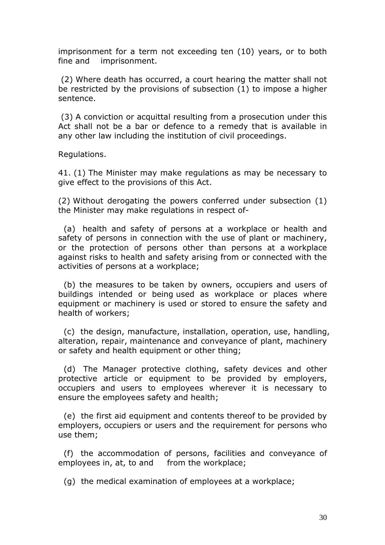imprisonment for a term not exceeding ten (10) years, or to both fine and imprisonment.

 (2) Where death has occurred, a court hearing the matter shall not be restricted by the provisions of subsection (1) to impose a higher sentence.

 (3) A conviction or acquittal resulting from a prosecution under this Act shall not be a bar or defence to a remedy that is available in any other law including the institution of civil proceedings.

Regulations.

41. (1) The Minister may make regulations as may be necessary to give effect to the provisions of this Act.

(2) Without derogating the powers conferred under subsection (1) the Minister may make regulations in respect of-

 (a) health and safety of persons at a workplace or health and safety of persons in connection with the use of plant or machinery, or the protection of persons other than persons at a workplace against risks to health and safety arising from or connected with the activities of persons at a workplace;

 (b) the measures to be taken by owners, occupiers and users of buildings intended or being used as workplace or places where equipment or machinery is used or stored to ensure the safety and health of workers;

 (c) the design, manufacture, installation, operation, use, handling, alteration, repair, maintenance and conveyance of plant, machinery or safety and health equipment or other thing;

 (d) The Manager protective clothing, safety devices and other protective article or equipment to be provided by employers, occupiers and users to employees wherever it is necessary to ensure the employees safety and health;

 (e) the first aid equipment and contents thereof to be provided by employers, occupiers or users and the requirement for persons who use them;

 (f) the accommodation of persons, facilities and conveyance of employees in, at, to and from the workplace;

(g) the medical examination of employees at a workplace;